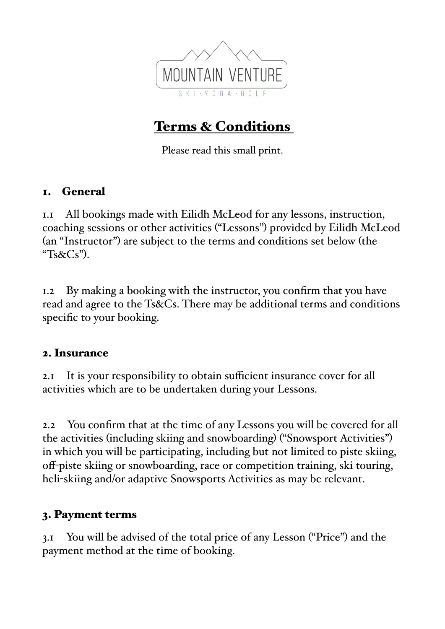

# Terms & Conditions

Please read this small print.

### 1. General

1.1 All bookings made with Eilidh McLeod for any lessons, instruction, coaching sessions or other activities ("Lessons") provided by Eilidh McLeod (an "Instructor") are subject to the terms and conditions set below (the " $Ts&CS"$ ).

1.2 By making a booking with the instructor, you confirm that you have read and agree to the Ts&Cs. There may be additional terms and conditions specific to your booking.

#### 2. Insurance

2.1 It is your responsibility to obtain sufficient insurance cover for all activities which are to be undertaken during your Lessons.

2.2 You confirm that at the time of any Lessons you will be covered for all the activities (including skiing and snowboarding) ("Snowsport Activities") in which you will be participating, including but not limited to piste skiing, off-piste skiing or snowboarding, race or competition training, ski touring, heli-skiing and/or adaptive Snowsports Activities as may be relevant.

#### 3. Payment terms

3.1 You will be advised of the total price of any Lesson ("Price") and the payment method at the time of booking.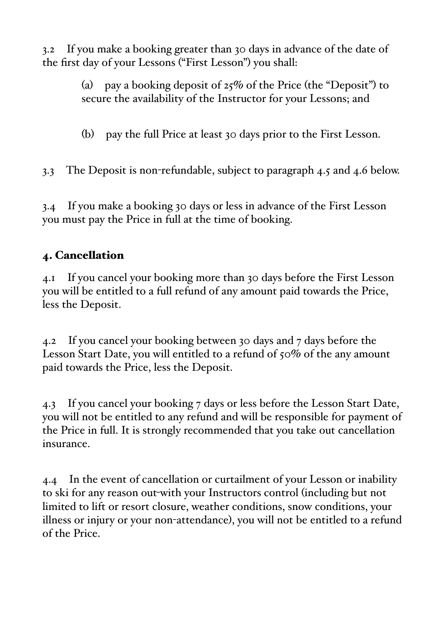3.2 If you make a booking greater than 30 days in advance of the date of the first day of your Lessons ("First Lesson") you shall:

> (a) pay a booking deposit of  $25\%$  of the Price (the "Deposit") to secure the availability of the Instructor for your Lessons; and

(b) pay the full Price at least 30 days prior to the First Lesson.

3.3 The Deposit is non-refundable, subject to paragraph 4.5 and 4.6 below.

3.4 If you make a booking 30 days or less in advance of the First Lesson you must pay the Price in full at the time of booking.

## 4. Cancellation

4.1 If you cancel your booking more than 30 days before the First Lesson you will be entitled to a full refund of any amount paid towards the Price, less the Deposit.

4.2 If you cancel your booking between 30 days and 7 days before the Lesson Start Date, you will entitled to a refund of 50% of the any amount paid towards the Price, less the Deposit.

4.3 If you cancel your booking 7 days or less before the Lesson Start Date, you will not be entitled to any refund and will be responsible for payment of the Price in full. It is strongly recommended that you take out cancellation insurance.

4.4 In the event of cancellation or curtailment of your Lesson or inability to ski for any reason out-with your Instructors control (including but not limited to lift or resort closure, weather conditions, snow conditions, your illness or injury or your non-attendance), you will not be entitled to a refund of the Price.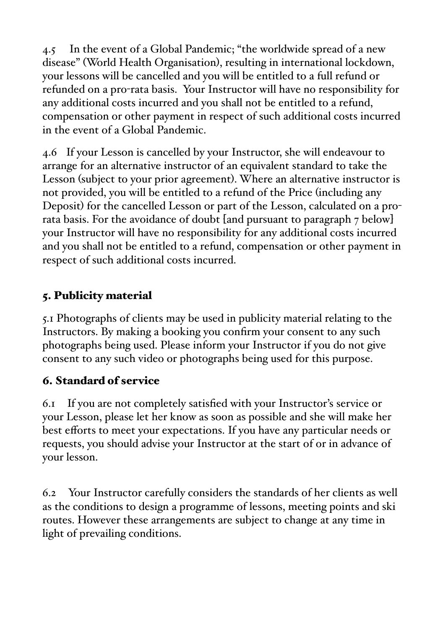4.5 In the event of a Global Pandemic; "the worldwide spread of a new disease" (World Health Organisation), resulting in international lockdown, your lessons will be cancelled and you will be entitled to a full refund or refunded on a pro-rata basis. Your Instructor will have no responsibility for any additional costs incurred and you shall not be entitled to a refund, compensation or other payment in respect of such additional costs incurred in the event of a Global Pandemic.

4.6 If your Lesson is cancelled by your Instructor, she will endeavour to arrange for an alternative instructor of an equivalent standard to take the Lesson (subject to your prior agreement). Where an alternative instructor is not provided, you will be entitled to a refund of the Price (including any Deposit) for the cancelled Lesson or part of the Lesson, calculated on a prorata basis. For the avoidance of doubt [and pursuant to paragraph 7 below] your Instructor will have no responsibility for any additional costs incurred and you shall not be entitled to a refund, compensation or other payment in respect of such additional costs incurred.

# 5. Publicity material

5.1 Photographs of clients may be used in publicity material relating to the Instructors. By making a booking you confirm your consent to any such photographs being used. Please inform your Instructor if you do not give consent to any such video or photographs being used for this purpose.

### 6. Standard of service

6.1 If you are not completely satisfied with your Instructor's service or your Lesson, please let her know as soon as possible and she will make her best efforts to meet your expectations. If you have any particular needs or requests, you should advise your Instructor at the start of or in advance of your lesson.

6.2 Your Instructor carefully considers the standards of her clients as well as the conditions to design a programme of lessons, meeting points and ski routes. However these arrangements are subject to change at any time in light of prevailing conditions.